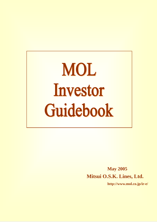# MOL Investor Guidebook

**May 2005 Mitsui O.S.K. Lines, Ltd.** 

**http://www.mol.co.jp/ir-e/**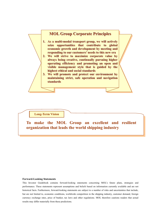

**Long-Term Vision** 

**To make the MOL Group an excellent and resilient organization that leads the world shipping industry** 

#### **Forward-Looking Statements**

This Investor Guidebook contains forward-looking statements concerning MOLís future plans, strategies and performance. These statements represent assumptions and beliefs based on information currently available and are not historical facts. Furthermore, forward-looking statements are subject to a number of risks and uncertainties that include, but are not limited to, economic conditions, worldwide competition in the shipping industry, customer demand, foreign currency exchange rates, price of bunker, tax laws and other regulations. MOL therefore cautions readers that actual results may differ materially from these predictions.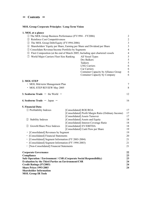## **MOL Group Corporate Principles / Long-Term Vision**

| 1. MOL at a glance                                                                     |  |                                                      |                  |  |  |
|----------------------------------------------------------------------------------------|--|------------------------------------------------------|------------------|--|--|
| 1) The MOL Group Business Performance (FY1994 – FY2006)                                |  |                                                      | 2                |  |  |
| 2 Reinforce Cost Competitiveness                                                       |  |                                                      |                  |  |  |
| 3 The MOL Group Debt/Equity (FY1994-2006)                                              |  |                                                      |                  |  |  |
| 4 Shareholders' Equity per Share, Earning per Share and Dividend per Share             |  |                                                      | $\mathfrak{Z}$   |  |  |
| 5 Consolidate Revenue/Income Portfolio by Segments                                     |  |                                                      | $\overline{4}$   |  |  |
| <b>6</b> Fleet Composition (at the end of March 2005; Including spot chartered vessels |  |                                                      | $\overline{4}$   |  |  |
| 7 World Major Carriers Fleet Size Ranking                                              |  | All Vessel Types                                     | $\mathfrak s$    |  |  |
|                                                                                        |  | Dry Bulkers                                          | 5                |  |  |
|                                                                                        |  | Tankers                                              | 5                |  |  |
|                                                                                        |  | <b>LNG Carriers</b>                                  | $\boldsymbol{6}$ |  |  |
|                                                                                        |  | Car Carriers                                         | 6                |  |  |
|                                                                                        |  | Container Capacity by Alliance Group                 | $\sqrt{6}$<br>6  |  |  |
|                                                                                        |  | Container Capacity by Company                        |                  |  |  |
| 2. MOL STEP                                                                            |  |                                                      |                  |  |  |
| • MOL Mid-term Management Plan                                                         |  |                                                      | 7                |  |  |
| · MOL STEP REVIEW May 2005                                                             |  |                                                      | 8                |  |  |
|                                                                                        |  |                                                      |                  |  |  |
| <b>3. Seaborne Trade</b> $-$ the World $-$                                             |  |                                                      | 12               |  |  |
| 4. Seaborne Trade $-$ Japan $-$                                                        |  |                                                      | 16               |  |  |
| 5. Financial Data                                                                      |  |                                                      |                  |  |  |
| 1 Profitability Indexes                                                                |  | [Consolidated] ROE/ROA                               | 17               |  |  |
|                                                                                        |  | [Consolidated] Profit Margin Ratio (Ordinary Income) | 17               |  |  |
|                                                                                        |  | [Consolidated] Assets Turnover                       | 17               |  |  |
| (2)<br><b>Stability Indexes</b>                                                        |  | [Consolidated] Assets and Equity                     | 18               |  |  |
|                                                                                        |  | [Consolidated] Interest Coverage Ratio               | 18               |  |  |
| Growth/Share Price Indexes<br>(3)                                                      |  | [Consolidated] EV/EBITDA                             | 18               |  |  |
|                                                                                        |  | [Consolidated] Cash Flow per Share                   | 19               |  |  |
| · [Consolidated] Revenues by Segment                                                   |  |                                                      | 19               |  |  |
| • [Consolidated] Financial Statements                                                  |  |                                                      | 20               |  |  |
| · [Consolidated] Segment Information (FY 2003-2004)                                    |  |                                                      | 21               |  |  |
| · [Consolidated] Segment Information (FY 1994-2003)                                    |  |                                                      | 21               |  |  |
| • [Non-Consolidated] Financial Statements                                              |  |                                                      | 21               |  |  |
| <b>Corporate Governance</b>                                                            |  |                                                      | 22               |  |  |
| Compliance                                                                             |  |                                                      | 23               |  |  |
| Safe Operation / Environment / CSR (Corporate Social Responsibility)                   |  |                                                      | 23               |  |  |
| <b>Evaluation by the Third Parties on Environment/CSR</b>                              |  |                                                      | 24               |  |  |
| <b>Credit Ratings (FY2003)</b>                                                         |  |                                                      | 24               |  |  |
| <b>Share Prices 1993-2003</b>                                                          |  |                                                      | 24               |  |  |
| <b>Shareholder Information</b>                                                         |  |                                                      |                  |  |  |
| <b>MOL Group IR Tools</b>                                                              |  |                                                      |                  |  |  |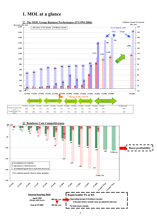# **1. MOL at a glance**



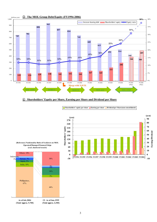

#### ④ **Shareholdersí Equity per Share, Earning per Share and Dividend per Share**



**Shareholders' equity per share Earning per share Dividend per Share(non-consolidated)**

**(Reference) Nashionality Ratio of Seafarers on MOL Operated/Managed Financed Ships (excl. chartered vessels)** Others, 10%

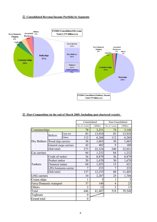#### ⑤ **Consolidated Revenue/Income Portfolio by Segments**



#### ⑥ **Fleet Composition (at the end of March 2005; Including spot chartered vessels)**

|                          |                        |                  |                | Consolidated   | Non-Consolidated |          |  |
|--------------------------|------------------------|------------------|----------------|----------------|------------------|----------|--|
|                          |                        |                  | No. of vessels | 1,000dwt       | No. of vessels   | 1,000dwt |  |
| Containerships           |                        |                  | 78             | 3,251          | 74               | 3,148    |  |
|                          | <b>Bulkers</b>         | Cape size        | 83             | 13,910         | 83               | 13,910   |  |
|                          |                        | Others           | 112            | 6,268          | 112              | 6,268    |  |
| Dry Bulkers              | Wood chip carriers     |                  | 36             | 1,663          | 36               | 1,663    |  |
|                          | General cargo carriers |                  | 42             | 482            | 9                | 180      |  |
|                          | (Sub total)            |                  | 273            | 22,324         | 240              | 22,021   |  |
| Car carriers             |                        |                  | 84             | 1,232          | 84               | 1,232    |  |
|                          | Crude oil tanker       |                  | 36             | 8,879          | 36               | 8,879    |  |
|                          | Product tanker         |                  | 30             | 1,670          | 30               | 1,670    |  |
| Tankers                  | Chemical tanker        |                  | 64             | 1,453          | 15               | 621      |  |
|                          | LPG/Ammonia carrier    |                  | 7              | 233            | 7                | 233      |  |
|                          | (Sub total)            |                  | 137            | 12,235         | 88               | 11,403   |  |
| <b>LNG</b> carriers      |                        |                  | 34             | 2,287          | 25               | 1,704    |  |
| Cruise ships             |                        |                  | 1              |                | 1                |          |  |
| Ferry/Domestic transport |                        | 37               | 140            | $\overline{4}$ | 23               |          |  |
| Others                   |                        | $\overline{2}$   | 13             | $\overline{2}$ | 13               |          |  |
| Total                    |                        | 646              | 41,487         | 518            | 39,548           |          |  |
| Tugboats                 |                        | $\boldsymbol{0}$ |                |                |                  |          |  |
| Grand total              |                        |                  | $\overline{0}$ |                |                  |          |  |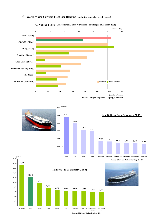

(1000 dwt)

#### ⑦ **World Major Carriers Fleet Size Ranking (excluding spot-chartered vessels)**

**All Vessel Types (Consolidated/Chartered vessels excluded; as of January 2005)**

**Source: Lloyds Register Fairplay, Clarkson**





(1000 dwt)



**Sourse: Clarkson Bulkcarrier Register 2004**





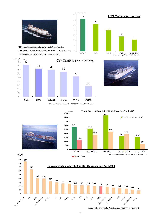

\*Fleet under its management or more than 50% of ownership \*\*MOL already secured 63 vessels of the total about 280 in the world

including the ones to be delivered by the end of 2009.







**\* MOL internal calculation based on HESNES December 2004 data etc.**

**0 5 10**





**Source: MDS Transmodal "Containership Databank" April 2005**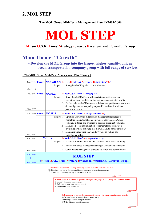# **2. MOL STEP**

#### **The MOL Group Mid-Term Management Plan FY2004-2006**

# **MOL STEP**

# **Mitsui O.S.K. Lines' Strategy towards Excellent and Powerful Group**

# **Main Theme: "Growth"**

## **- Develop the MOL Group into the largest, highest-quality, unique ocean transportation company group with full range of services.**

#### **[ The MOL Group Mid-Term Management Plan History ]**

|           |                          | Sept. 1994 Phase 1   MOCAR 90's (MOL's Creative & Aggressive Redesigning, 90's)          |
|-----------|--------------------------|------------------------------------------------------------------------------------------|
|           | Target:                  | Strengthen MOL's global competitiveness                                                  |
| Mar. 1996 |                          |                                                                                          |
|           | Jul. 1996 Phase 2 MORE21 | (Mitsui O.S.K. Lines Redesigng for 21)                                                   |
|           | Target: 1)               | Strengthen MOL's Groupwide market competitiveness and                                    |
|           |                          | strengthen the overall Group to maximaize consolidated profits                           |
|           | (2)                      | Further enhance MOL's non-consolidated competitiveness to restore                        |
|           |                          | dividend payments as quickly as possible, and stable dividend                            |
| Mar. 1999 |                          | payment structure.                                                                       |
|           | Apr. 1999 Phase 3 MOST21 | (Mitsui O.S.K. Lines' Strategy Towards 21)                                               |
|           | Target: $1)$             | Optimize Groupwide allication of management resources to                                 |
|           |                          | strengthen international competitivenes, allowing each Group                             |
|           |                          | company in Japan and overseas to become a resilient company.                             |
|           | 2)                       | MOL itself seeks maximization of merger effects to ensure a                              |
|           |                          | dividend payment structure that allows MOL to consistently pay                           |
|           | 3 <sup>)</sup>           | Maximize Groupwide shareholders' value as well as non-                                   |
| Mar. 2001 |                          | consolidated value.                                                                      |
| Apr. 2001 | <b>MOL</b> next          | (Mitsui O.S.K. Lines' new expansion target)                                              |
|           | Target: 1)               | Make MOL Group excellent and resilient in the world shipping                             |
|           | 2)                       | Non-consolidated management strategy: Growth and expansion                               |
| Mar. 2004 | 3)                       | Consolidated management strategy: Selection and concentration                            |
| Apr. 2004 |                          | <b>MOL STEP</b><br>(Mitsui O.S.K. Lines' Strategy towards an Excellent & Powerful Group) |
| Mar. 2006 |                          |                                                                                          |

1. Strategies for growth – along with expansion of world seaborne trade -1) Effectively invest in the ocean shipping business in growing segments 2) Expand business in growing countries and areas 2. Strategies to increase corporate strength  $-$  to prepare for "jump" in the next term  $\cdot$ 1) Solidify financial foundations 2) Enhance group-wide management 3) Develop human resources 3. Strategies to strengthen competitiveness  $-$  to ensure sustainable growth  $\cdot$ 1) Strengthen customer-oriented sales force 2) Strengthen cost competitiveness 3) Offer highest-quality services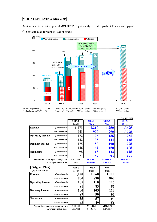#### **MOL STEP REVIEW May 2005**

Achievement in the initial year of MOL STEP : Significantly exceeded goals  $\rightarrow$  Review and upgrade





Av. exchange rate( $\frac{\sqrt{5}}{2}$  113.84 110(original) 107.75(result)105(assumption) 100(assumption) 100(assumption) Av. bunker price(\$/MT) 178 150(original) 193(result) 250(assumption) 200(assumption) 200(assumption)

|                                          |                      |               |             |                 | (Billion yen)     |
|------------------------------------------|----------------------|---------------|-------------|-----------------|-------------------|
|                                          |                      | 2005.3        | 2006.3      | 2007.3          | 2010.3            |
|                                          |                      | <b>Result</b> | <b>Plam</b> | <b>Plan</b>     | <b>Target</b>     |
| <b>Revenue</b>                           | (Consolidated)       | 1,173         | 1,210       | 1,250           | 1,600             |
|                                          | (Non-consolidated)   | 943           | 970         | 990             | 1,200             |
| <b>Operating income</b>                  | (Consolidated)       | 172           | 176         | <b>186</b>      | 215               |
|                                          | (Non-consolidated)   | 142           | 135         | 144             | <b>160</b>        |
| <b>Ordinary income</b>                   | (Consolidated)       | 175           | <b>180</b>  | <b>190</b>      | <i><b>220</b></i> |
|                                          | (Non-consolidated)   | 146           | 142         | <b>150</b>      | 170               |
| <b>Net income</b>                        | (Consolidated)       | 98            | 113         | 122             | <b>130</b>        |
|                                          | (Non-consolidated)   | 77            | 87          | 93              | 105               |
| <b>Assumption: Average exchange rate</b> |                      | ¥107.75/\$    | ¥105.00/S   | ¥100.00/S       | ¥100.00/S         |
|                                          | Average bunker price | \$193/MT      | \$250/MT    | <b>\$200/MT</b> | <b>\$200/MT</b>   |
| <b>[Original Plan]</b>                   |                      | 2005.3        | 2006.3      | 2007.3          |                   |
| (as of March '04)                        |                      | <b>Result</b> | Plam        | Plan            |                   |
| Revenue                                  | (Consolidated)       | 1,020         | 1,060       | 1,110           |                   |
|                                          | (Non-consolidated)   | 800           | 830         | 860             |                   |
| <b>Operating income</b>                  | (Consolidated)       | 105           | <b>110</b>  | 115             |                   |
|                                          | (Non-consolidated)   | 81            | 83          | 85              |                   |
| <b>Ordinary income</b>                   | (Consolidated)       | <b>100</b>    | 105         | 110             |                   |

**(Non-consolidated) 48 49 51 Assumption: Average exchange rate Average bunker price \$150/MT \$150/MT \$150/MT**

**Net income (Consolidated) 55** 57 64

**(Non-consolidated) 87 90 93**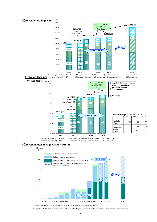

③**Accumulation of Highly Stable Profits**



Regarded as highly stable income = A part of Bulkships' income; income of Associated Businesses.

Not regarded as highly stable income = Incomes of Containership, Logistics, Ferry & Domestic Transport and Others; a part of Bulkships' income.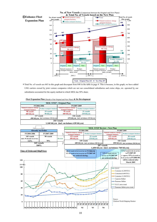

\*Total No. of vessels are 663 in this graph and discrepant from 646 in the table in page 4. This is because, in this graph, we have added LNG carriers owned by joint venture companies which are not our consolidated subsidiaries and cruise ships, etc. operated by our subsidiaries accounted for the equity method in which MOL has 50% share.



#### **Fleet Expansion Plan** (Details of the Original and New Plans) **& Its Development**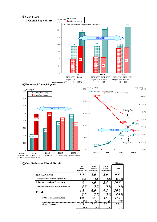





| luction Plan & Result                              |                                            |                                              |                                              | (billion yen) |
|----------------------------------------------------|--------------------------------------------|----------------------------------------------|----------------------------------------------|---------------|
|                                                    | 2005.3<br><b>Result</b><br>(Original Plan) | 2006.3<br><b>Forecast</b><br>(Original Plan) | 2007.3<br><b>Forecast</b><br>(Original Plan) | <b>Total</b>  |
| <b>Sales Divisions</b>                             | 5.5                                        | 2.0                                          | 2.0                                          | 9.5           |
| (Voyage expenses, container expenses, etc.)        | (4.0)                                      | (3.5)                                        | (3.5)                                        | (11.0)        |
| <b>Administration Divisions</b>                    | 4.0                                        | <b>4.0</b>                                   | 2.5                                          | 10.5          |
| (Administration expenses, interest payments, etc.) | (2.5)                                      | (3.0)                                        | (3.5)                                        | (9.0)         |
| <b>Total</b>                                       | 9.5                                        | 6.0                                          | 4.5                                          | <i>20.0</i>   |
|                                                    | (6.5)                                      | (6.5)                                        | (7.0)                                        | (20.0)        |
| <b>MOL</b> (Non-Consolidated)                      | 8.0                                        | 5.5                                          | <b>4.0</b>                                   | 17.5          |
|                                                    | (5.5)                                      | (6.0)                                        | (6.0)                                        | (17.5)        |
| <b>Group Companies</b>                             | 1.5                                        | 0.5                                          | 0.5                                          | 2.5           |
|                                                    | (1.0)                                      | (0.5)                                        | (1.0)                                        | (2.5)         |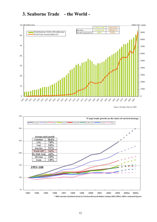# **3. Seaborne Trade - the World -**



Source: Fearnley s Review 2003



**\* MOL internal calculation based on Clarkson Research Studies Autumn 2004 (2004e, 2005e: estimated figures)**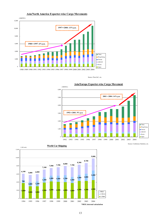![](_page_14_Figure_0.jpeg)

#### **Asia/North America Exporter-wise Cargo Movements**

Source: Piers/JoC, etc.

![](_page_14_Figure_3.jpeg)

#### **Asia/Europe Exporter-wise Cargo Movement**

![](_page_14_Figure_5.jpeg)

Source: Conference Statistics, etc.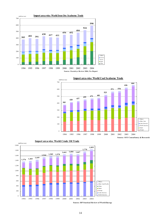![](_page_15_Figure_0.jpeg)

![](_page_15_Figure_1.jpeg)

![](_page_15_Figure_2.jpeg)

**Import area-wise World Crude Oil Trade**

**Source: BP Stastical Review of World Energy**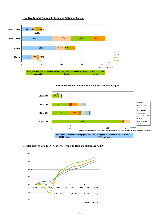![](_page_16_Figure_0.jpeg)

#### **Iron Ore Import Volume to China by Nation of Origin**

#### **Crude Oil Import Volume to China by Nation of Origin**

![](_page_16_Figure_3.jpeg)

**Dalian-Oman: 5,800miles (9 voyages/year) Dalian-Angola: 9,900miles (6 voyages/year) (Middle East) (West Africa)**

#### **Development of Crude Oil Seaborne Trade by Haulage (Basis Year 2000)**

![](_page_16_Figure_6.jpeg)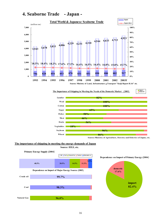![](_page_17_Figure_0.jpeg)

![](_page_17_Figure_1.jpeg)

![](_page_17_Figure_2.jpeg)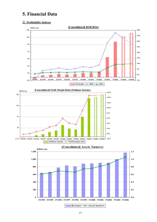# **5. Financial Data**

#### ① **Profitability Indexes**

 $\Delta$  10

**0**

**200**

**400**

**40**

**90**

**140**

**190**

![](_page_18_Figure_2.jpeg)

**FY1994 FY1995 FY1996 FY1997 FY1998 FY1999 FY2000 FY2001 FY2002 FY2003 FY2004**

**Revenues Assets turnover**

**0.0**

**0.2**

**0.4**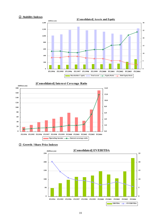#### **Stability Indexes**

![](_page_19_Figure_1.jpeg)

![](_page_19_Figure_2.jpeg)

 **Growth / Share Price Indexes**

![](_page_19_Figure_4.jpeg)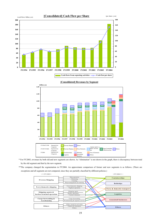![](_page_20_Figure_0.jpeg)

FY1994-FY1996 Separated into **COO** Oversea Shipping COO Others FY1997-FY2003 Separated into **EXP** Oversea Shipping **Ferry/Domestic Cargo for Accept**on Cargo forwarding **CARGO** of thers FY2004- Separated into Containerships Bulkships Ferry & Domestic Logistics **Associated** Others Shipping Agents & garbor/terminal garbo Separated into 2 segments Separated into 4 segments Separated into 6 Segments **0 200 400 600 800 1,000 1,200 1,400 FY1994 FY1995 FY1996 FY1997 FY1998 FY1999 FY2000 FY2001 FY2002 FY2003 FY2004 (billion yen)**

**[Consolidated] Revenues by Segment**

- \* For FY2003, revenues by both old and new segments are shown. As "elimination" is not shown in the graph, there is discrepancy between total by the old segment and that by the new segment.
- \*\*The company changed the segmentation in FY2004. An approximate comparison of former and new segments is as follows. (There are exceptions and all segments are not compared, since they are partially classified by different policies.)

![](_page_20_Figure_5.jpeg)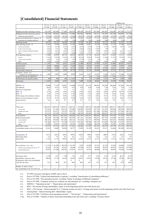#### **[Consolidated] Financial Statements**

|                                               |                   |                    |                    |                      |                   |                   |                                                                                                                                             |                   |                    | (million yen)    |                   |
|-----------------------------------------------|-------------------|--------------------|--------------------|----------------------|-------------------|-------------------|---------------------------------------------------------------------------------------------------------------------------------------------|-------------------|--------------------|------------------|-------------------|
|                                               | 95.3.31           | 96.3.31            | '97.3.31           | 98.3.31              | 99.3.31           | 00.3.31           | '01.3.31                                                                                                                                    | '02.3.31          | '03.3.31<br>FY2002 | 04.3.31          | '05.3.31          |
|                                               | FY1994            | FY1995             | FY1996             | FY1997               | FY1998*1          | FY1999            | <b>FY2000</b>                                                                                                                               | FY2001            |                    | FY2003           | FY2004            |
| Shipping and other operating revenues         | 635,284           | 662,046            | 777,896            | 834,879              | 809.160           | 881,807           | 887,866                                                                                                                                     | 903,943           | 910.288            | 997,260          | 1,173,332         |
| Shipping and other operating expenses         | 542,189           | 559,452            | 664,016            | 713,006              | 683,041           | 746,047           | 732,511                                                                                                                                     | 761,507           | 787,540            | 824,902          | 917,148           |
| (Depreciation and amortization)               | 30,245            | 49,057)            | 58,275)            | 67,842)              | 60,387)           | 61,862)           | 69,826)                                                                                                                                     | 68.826)           | 60,710)            | 55,334)          | 52,969)           |
| General and administrative expenses *2        | 74,339            | 74,421             | 75.353             | 74,707               | 72,581            | 74,439            | 77,115                                                                                                                                      | 82,663            | 77,391             | 80,231           | 84,388            |
| (amortization of consolidation difference)    | 208)              | 143)               | 59)                | 513)                 | 563)              | 582               | 663)                                                                                                                                        | 588)              | 446)               | 535)             | $\left( 0\right)$ |
| Operating income                              | 18,755            | 28,172             | 38,526             | 47,164               | 53,536            | 61,320            | 78,239                                                                                                                                      | 59,772            | 45,356             | 92,126           | 171,794           |
| Non-operating income *3                       | 17,363            | 8,706              | 8,628              | 11,182               | 14,900            | 15,051            | 19,218                                                                                                                                      | 12,580            | 11,718             | 17,540           | 20,147            |
| Interests and dividends                       | 5,647             | 4,672)             | 4,252)             | $5,481$ $()$         | 4,014)            | 4,439             | 3,550                                                                                                                                       | 3,372)            | 2,840)             | 2,995)           | 2,925)            |
| Profits on sale of securities                 | 8,458)            | $1,351$ $()$       | 206)               | $3,211$ $()$         | 1,669)            | 4,481             | 6,309                                                                                                                                       | 49)               | $ 0\rangle$ (      | (0)              | $\left( 0\right)$ |
| Equity in earnings of affiliated companies    | 4,504)            | 4,023              | 5,024              | 3,473                | 4,126             | $1,403$ )         | 3,680)                                                                                                                                      | 4,426)            | 3,387)             | 6,612)           | 11,764)           |
| Others                                        | 3,256             | 2,681)<br>36.099   | 4,167)             | 2,488)               | 5,089)            | 4,727)            | 5,677)                                                                                                                                      | 4,731)            | 5,490              | 7,932)           | 5,458)            |
| Non-operating expenses<br>Interests           | 37,660<br>31,636) | 33,838)            | 40,723<br>37,842)  | 46,822<br>$42,519$ ( | 46,956<br>40,070) | 47,736<br>39,085) | 44,436<br>$39,465$ )                                                                                                                        | 34,971<br>32,104) | 23,669<br>21,103)  | 19,111<br>16,930 | 16,963<br>14,562) |
| Losses on sale of securities                  | 1,202)            | 181)               | 132)               | 345(                 | 2,379)            | 1,227             | 28)                                                                                                                                         | 25)               | $ 0\rangle$        | $ 0\rangle$      | $\left( 0\right)$ |
| Others                                        | 4,820)            | 2,078)             | 2,747              | 3,958)               | 4,506)            | 7,422             | 4,942                                                                                                                                       | 2,840)            | 2,566              | 2,180            | 2,401)            |
| Ordinary income                               | $\triangle$ 1.541 | 779                | 6,431              | 11,524               | 21,480            | 28,635            | 53,020                                                                                                                                      | 37,381            | 33,404             | 90,556           | 174,979           |
| Special profits                               | 2,678             | 10,008             | 7,267              | 17,629               | 10,665            | 14,879            | 27,605                                                                                                                                      | 7,178             | 6,330              | 12,097           | 6,492             |
| Special losses                                | 8,282             | 8,300              | 9.712              | 14,374               | 16,808            | 28,199            | 59,765                                                                                                                                      | 19.709            | 14,621             | 12,878           | 26,415            |
| Income before income tax                      | $\triangle$ 7,144 | 2,487              | 3,987              | 14,779               | 15,337            | 15,314            | 20,860                                                                                                                                      | 24,850            | 25,114             | 89,775           | 155,057           |
| Corporate income tax,                         |                   |                    |                    |                      |                   |                   |                                                                                                                                             |                   |                    |                  |                   |
| residents tax and enterprise tax<br>$*4$      | 1,684             | 2,065              | 3,048              | 8,059                | 8,362             | 6,427             | 19,472                                                                                                                                      | 6,100             | 10,871             | 35,346           | 52,587            |
| Corporate income tax adjustment               | $\sim$            |                    | ÷,                 |                      | ä,                | 529)              | $\triangle$ 7,708)                                                                                                                          | 6,632             | $\triangle$ 1,434  | 2,151<br>Δ       | 1,205             |
| Profit/loss( $\Delta$ ) on minority interest  | 109               | 384                | 169                | $\triangle$ 1,257    | 34                | 33                | $\triangle$ 1,846                                                                                                                           | 1,572             | 967                | 1,190            | 3,003             |
| Net income                                    | $\triangle$ 4,423 | 4,686              | 6,072              | 8,422                | 7,009             | 8,324             | 10,943                                                                                                                                      | 10,544            | 14,709             | 55,390           | 98,261            |
|                                               |                   |                    |                    |                      |                   |                   |                                                                                                                                             |                   |                    |                  |                   |
| EBITDA *5                                     | 49,000            | 77,229             | 96,801             | 115,006              | 113,923           | 123,182           | 148,065                                                                                                                                     | 128,598           | 106,066            | 147,460          | 224,763           |
| <b>EV/EBITDA</b>                              | 20.43             | 14.51              | 10.93              | 9.51                 | 9.20              | 8.30              | 6.54                                                                                                                                        | 7.54              | 8.53               | 7.34             | 5.74              |
| <b>Interest Coverage Ratio</b>                | 0.8               | 1.0                | 1.1                | 1.2                  | 1.4               | 1.7               | 2.1                                                                                                                                         | 2.0               | 2.3                | 5.6              | 12.0              |
| ROE $*6$                                      | $-3.5%$           | 3.9%               | 4.8%               | 6.3%                 | 5.0%              | 5.6%              | 7.4%                                                                                                                                        | 6.8%              | 8.9%               | 28.7%            | 37.8%             |
| $ROA *7$                                      | 1.2%              | 2.2%               | 2.3%               | 2.5%                 | 2.4%              | 2.7%              | 3.0%                                                                                                                                        | 2.7%              | 2.6%               | 6.4%             | 9.6%              |
| Profit margin ratio (ordinary income)         | $-0.2%$           | 0.1%               | 0.8%               | 1.4%                 | 2.7%              | 3.2%              | 6.0%                                                                                                                                        | 4.1%              | 3.7%               | 9.1%             | 14.9%             |
| Return on assets (ordinary income)            | $-0.1%$           | 0.1%               | 0.6%               | 0.9%                 | 1.8%              | 2.3%              | 4.5%                                                                                                                                        | 3.4%              | 3.1%               | 8.8%             | 15.7%             |
| Assets turnover                               | 0.6               | 0.6                | 0.7                | 0.7                  | 0.7               | 0.7               | 0.8                                                                                                                                         | 0.8               | 0.9                | 1.0              | 1.1               |
|                                               |                   |                    |                    |                      |                   |                   |                                                                                                                                             |                   |                    |                  |                   |
| Total assets                                  | 1,020,291         | 1,058,325          | 1,190,871          | 1,286,576            | 1,174,640         | 1,196,474         | 1,140,400                                                                                                                                   | 1,079,089         | 1,046,611          | 1,000,205        | 1,232,252         |
| Current assets                                | 233,101           | 211,360            | 250,147            | 276,089              | 230,994           | 239,858           | 255,774                                                                                                                                     | 251,387           | 289,644            | 299,544          | 299,835           |
| Tangible fixed assets                         | 553,975           | 613,671            | 718,193            | 818,579              | 753,347           | 756,624           | 691,306                                                                                                                                     | 619,645           | 569,234            | 477,620          | 665,319           |
| Others                                        | 233,215           | 233,294            | 222,531            | 191,908              | 190,299           | 199,992           | 193,320                                                                                                                                     | 208,057           | 187,733            | 223,041          | 267,098           |
| <b>Total liabilities</b>                      | 901,736           | 934,811            | ,061,695           | 1,148,884            | 1,027,367         | 1,036,561         | 988,685                                                                                                                                     | 908,624           | 874,130            | 771,503          | 874,279           |
| (Interest-bearing debt)                       | 748,549           | 782,100            | 897,786            | 943,078              | 857,121           | 833,625           | 744,612                                                                                                                                     | 667,719           | 612,646            | 491,693          | 514,131           |
| Current liabilities                           | 286,303           | 279,443            | 301,268            | 350,132              | 337,416           | 412,717           | 399,995                                                                                                                                     | 375,032           | 423,837            | 398,090          | 429,695           |
| Long-term debt                                | 591,484           | 632,777            | 735,100            | 772,427              | 670,362           | 598,998           | 540,158                                                                                                                                     | 475,694           | 395,588            | 311,019          | 340,597           |
| Others                                        | 23,949            | 22,591             | 25,327             | 26,325               | 19,589            | 24,846            | 48,532                                                                                                                                      | 57,898            | 54,705             | 62,394           | 103,987           |
| Sharholders' equity                           | 118,555           | 123,514            | 129,175            | 137,691              | 140,489           | 151,992           | 144,355                                                                                                                                     | 166,970           | 164,789            | 221.534          | 298,258           |
| Consolidated surplus at the end of the year   | 10,163            | 14,609             | 20,269             | 28,577               | 37,899            | 43,198            | 43,433                                                                                                                                      | 47,817            | 56,468             | 101,990          | 182,143           |
|                                               |                   |                    |                    |                      |                   |                   |                                                                                                                                             |                   |                    |                  |                   |
| Gearing Ratio *8                              | 631%              | 633%               | 695%               | 685%                 | 610%              | 548%              | 516%                                                                                                                                        | 400%              | 372%               | 222%             | 172%              |
| Debt Equity Ratio                             | 7.6               | 7.6                | 8.2                | 8.3                  | 7.3               | 6.8               | 6.8                                                                                                                                         | 5.4               | 5.3                | 3.5              | 2.9               |
| <b>Equity Ratio</b>                           | 11.6%             | 11.7%              | 10.8%              | 10.7%                | 12.0%             | 12.7%             | 12.7%                                                                                                                                       | 15.5%             | 15.7%              | 22.1%            | 24.2%             |
|                                               |                   |                    |                    |                      |                   |                   |                                                                                                                                             |                   |                    |                  |                   |
| Free cash flows $\lceil$ (a) - (b) $\rceil$   | $\triangle$ 3,719 | $\triangle$ 61,565 | $\triangle$ 40,354 | $\triangle$ 76,187   | 1,825             | 14,598            | 22,321                                                                                                                                      | 41,274            | 33,382             | 64,044           | 55,991            |
| Cash flows from operating activities (a) $*9$ | 25,822            | 53,743             | 64,347             | 76,264               | 67,396            | 76,577            | 91,019                                                                                                                                      | 85,015            | 82,875             | 114,592          | 167,896           |
| Capital expenditure (b)                       | 29,541            | 115,308            | 104,701            | 152,451              | 65,571            | 61,979            | 68,698                                                                                                                                      | 43,741            | 49,493             | 50,548           | 111,905           |
|                                               |                   |                    |                    |                      |                   |                   |                                                                                                                                             |                   |                    |                  |                   |
| Earning per share                             | $\triangle$ 4.03  | 4.27               | 5.49               | 7.61                 | 6.33              | 6.77              | 9.01                                                                                                                                        | 8.76              | 12.16              | 46.14            | 81.99             |
| Shareholders' equity per share                | 108.08            | 111.58             | 116.69             | 124.28               | 126.81            | 123.63            | 119.88                                                                                                                                      | 138.78            | 137.44             | 185.06           | 249.53            |
| Dividend per share (non-consolidated)         |                   |                    |                    | $\overline{4}$       | $\overline{4}$    |                   | 5                                                                                                                                           |                   |                    | 11               | 16                |
| Cash flow per share                           | 23.5              | 48.5               | 58.1               | 68.8                 | 60.8              | 62.3              | 75.6                                                                                                                                        | 70.7              | 69.2               | 95.8             | 140.6             |
| Number of shares issued                       |                   |                    |                    |                      |                   |                   |                                                                                                                                             |                   |                    |                  |                   |
| and outstanding at the end of the year        | 1,096,931,233     |                    |                    |                      |                   |                   | 1,106,997,254 1,107,006,056 1,107,917,146 1,107,917,146 1,229,410,445 1,205,410,445 1,203,344,220 1,200,874,262 1,198,917,280 1,195,388,101 |                   |                    |                  |                   |

\*1: FY1999 to present: total figure of MOL and ex-Navix

\* 2: Prior to FY1998: "General and administrative expenses" excluding "Amortization of consolidation difference"

\* 3: Prior to FY1998: "Non-operating income" excluding "Equity in earnings of affiliated companies"

\*4: Prior to FY1998: "Corporate income tax, residents tax and enterprise tax" excluding "enterprise tax"

 $*5$ : EBITDA = "Operating income" + "Depreciation and amortization"

 $*6$ : ROE = Net income/Average shareholders' equity of at the beginning and the end of the fiscal year

\*7: ROA = [ Net income + Interest payable X (1- Corporate income tax rate) ] / Average total assets of at the beginning and the end of the fiscal year <br>\*8 Gearing Ratio = Interest-bearing debt / Shareholders' equity

 $*8$  Gearing Ratio = Interest-bearing debt / Shareholders' equity

\*9: Prior to FY1999: "Cash flows from operating activities" = "Net income" + "Depreciation and amortization"

\* 10: Prior to FY2001: "Number of shares issued and outstanding at the end of the year" excluding "Treasury shares"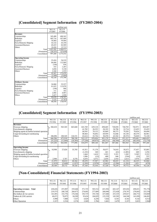# **[Consolidated] Segment Information (FY2003-2004)**

|                                          |                      | (million yen)          |
|------------------------------------------|----------------------|------------------------|
|                                          | $\overline{04.3.31}$ | 05.3.31                |
|                                          | FY2003               | FY2004                 |
| <b>Revenues</b>                          |                      |                        |
| Containerships                           | 345,408              | 400,365                |
| <b>Bulkships</b>                         | 495,716              | 597,489                |
| Logistics                                | 54,464               | 59,464                 |
| Ferry/Domestic Shipping                  | 42,122               | 45,350                 |
| <b>Associated Business</b>               | 69,433               | 82,589                 |
| Others                                   | 18,436               | 15,712                 |
| Total                                    | 1,025,582            | $\overline{1,}200,971$ |
| Elimination                              | (28, 321)            | (27, 639)              |
| Consolidated                             | 997,260              | 1,173,332              |
|                                          |                      |                        |
| <b>Operating Income</b>                  |                      |                        |
| Containerships                           | 23,434               | 54,219                 |
| <b>Bulkships</b>                         | 66,688               | 112,469                |
| Logistics                                | (144)                | 838                    |
| Ferry/Domestic Shipping                  | 533                  | 1,287                  |
| <b>Associated Business</b>               | 2,694                | 5,130                  |
| Others                                   | 2,360                | 1,535                  |
| Total                                    | 95,567               | 175,479                |
| Elimination                              | (3, 440)             | (3,684)                |
| Consolidated                             | 92,126               | 171,794                |
|                                          |                      |                        |
| <b>Ordinary Income</b><br>Containerships | 24,808               | 55,557                 |
| <b>Bulkships</b>                         | 61,632               | 115,078                |
| Logistics                                | (196)                | 980                    |
| Ferry/Domestic Shipping                  | 111                  | 183                    |
| <b>Associated Business</b>               | 2,905                | 4,987                  |
| Others                                   | 3,417                | 1,958                  |
| Total                                    | 92,678               | 178,747                |
| Elimination                              | 2,122                | (3,767)                |
| Consolidated                             | 90,556               | 174,979                |
|                                          |                      |                        |

# **[Consolidated] Segment Information (FY1994-2003)**

|                                               |           |           |           |           |           |           |               |           | (million yen) |           |
|-----------------------------------------------|-----------|-----------|-----------|-----------|-----------|-----------|---------------|-----------|---------------|-----------|
|                                               | '95.3.31  | 96.3.31   | 97.3.31   | '98.3.31  | '99.3.31  | '00.3.31  | '01.3.31      | 02.3.31   | 03.3.31       | 04.3.31   |
|                                               | FY1994    | FY1995    | FY1996    | FY1997    | FY1998    | FY1999    | <b>FY2000</b> | FY2001    | FY2002        | FY2003    |
| <b>Revenues</b>                               |           |           |           |           |           |           |               |           |               |           |
| Overseas shipping                             | 560,410   | 565,365   | 663,668   | 641,769   | 639,118   | 698,685   | 720,858       | 744,783   | 742,971       | 830,207   |
| Ferry/domestic shipping                       |           |           |           | 41,705    | 38,355    | 38,193    | 36,788        | 32,714    | 33,455        | 35,435    |
| Shipping agents $&$ harbor/terminal operation |           |           |           | 84,583    | 78,133    | 85,869    | 80,375        | 79,285    | 78,854        | 84,690    |
| Cargo forwarding & warehousing                |           |           |           | 80,464    | 70,492    | 69,959    | 52,846        | 45,158    | 48,379        | 46,981    |
| Others                                        | 106,096   | 108,545   | 124,531   | 63,614    | 52,736    | 58,470    | 63,542        | 69,374    | 74,820        | 72,120    |
| Total                                         | 666,506   | 673,910   | 788,199   | 912,137   | 878,836   | 951,179   | 954,411       | 971,317   | 978,481       | 1,069,435 |
| Elimination                                   | (31, 222) | (11, 864) | (10, 303) | (77, 258) | (69, 675) | (69, 371) | (66, 544)     | (67, 373) | (68, 193)     | (72, 174) |
| Consolidated                                  | 635,284   | 662,046   | 777,896   | 834,879   | 809,160   | 881,807   | 887,866       | 903,943   | 910,288       | 997,260   |
|                                               |           |           |           |           |           |           |               |           |               |           |
| <b>Operating Income</b>                       |           |           |           |           |           |           |               |           |               |           |
| Overseas shipping                             | 18,988    | 27,024    | 35,785    | 41,811    | 51,170    | 58,077    | 74,018        | 58,673    | 37,457        | 83,085    |
| Ferry/domestic shipping                       |           |           |           | (1,181)   | 160       | 441       | (61)          | (1,001)   | 648           | 1,256     |
| Shipping agents $&$ harbor/terminal operation |           |           |           | 1,664     | 1,618     | 1,923     | 3,321         | 1,205     | 2,305         | 5,352     |
| Cargo forwarding $&$ warehousing              |           |           |           | 1,096     | (15)      | 680       | 646           | (336)     | (53)          | 222       |
| Others                                        | 2,990     | 3,787     | 4,578     | 6,078     | 4,572     | 2,859     | 2,910         | 2,614     | 3,978         | 2,890     |
| Total                                         | 21,979    | 30,812    | 40,364    | 49,470    | 57,507    | 63,982    | 80,835        | 61,154    | 44,335        | 92,806    |
| Elimination                                   | (1, 819)  | (2,640)   | (1, 837)  | (2,305)   | (3,970)   | (2,661)   | (2,596)       | (1,381)   | 1,021         | (679)     |
| Consolidated                                  | 20,160    | 28,172    | 38,526    | 47,164    | 53,536    | 61,320    | 78,239        | 59,772    | 45,356        | 92,126    |

# **[Non-Consolidated] Financial Statements (FY1994-2003)**

|                                    |         |         |         |         |         |          |               |          | (million yen) |         |
|------------------------------------|---------|---------|---------|---------|---------|----------|---------------|----------|---------------|---------|
|                                    | 95.3.31 | 96.3.31 | 97.3.31 | 98.3.31 | 99.3.31 | '00.3.31 | 01.3.31       | '02.3.31 | '03.3.31      | 04.3.31 |
|                                    | FY1994  | FY1995  | FY1996  | FY1997  | FY1998  | FY1999   | <b>FY2000</b> | FY2001   | FY2002        | FY2003  |
|                                    |         |         |         |         |         |          |               |          |               |         |
| Total<br><b>Operating revenues</b> | 438,656 | 473,907 | 539.460 | 571,735 | 585,514 | 651,936  | 683,167       | 693,854  | 698,831       | 791,776 |
| Containerships                     | 219,575 | 240.720 | 268,873 | 274.602 | 277,009 | 268,048  | 272.428       | 278,747  | 278,043       | 323,336 |
| Dry bulkers & Car carriers         | 141,091 | 152,776 | 176,366 | 192,719 | 193,720 | 237.040  | 253,335       | 259,017  | 266,772       | 310,085 |
| Tankers & LNG carriers             | 68.671  | 70.075  | 84.509  | 93,634  | 104,829 | 135.539  | 145,582       | 144.548  | 141,850       | 146,881 |
| Others                             | 5,990   | 7,800   | 7,337   | 6,829   | 6,250   | 7,826    | 8,341         | 8,342    | 9,142         | 8,512   |
| Other Operation                    | 3,327   | 2,534   | 2,374   | 3,949   | 3,704   | 3,481    | 3,479         | 3,197    | 3,023         | 2,960   |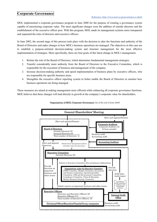#### **Corporate Governance**

MOL implemented a corporate governance program in June 2000 for the purpose of creating a governance system capable of maximizing corporate value. The most significant changes were the addition of outside directors and the establishment of the executive officer post. With this program, MOL made its management systems more transparent and separated the roles of directors and executive officers.

In June 2002, the second stage of this process took place with the decision to alter the functions and authority of the Board of Directors and make changes in how MOLís business operations are managed. The objectives in this case are to establish a purpose-oriented decision-making system and structure management for the most effective implementation of strategies. More specifically, there are four goals of this latest change in MOLís management.

- 1. Bolster the role of the Board of Directors, which determines fundamental management strategies.
- 2. Transfer considerably more authority from the Board of Directors to the Executive Committee, which is responsible for the execution of business and management of the company.
- 3. Increase decision-making authority and speed implementation of business plans by executive officers, who are responsible for specific business areas.
- 4. Strengthen the executive officer reporting system to better enable the Board of Directors to monitor how business operations are being managed.

These measures are aimed at making management more efficient while enhancing all corporate governance functions. MOL believes that these changes will lead directly to growth in the company's corporate value for shareholders.

![](_page_23_Figure_9.jpeg)

Organization of MOL Corporate Governance (As of the end of June 2005)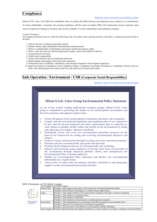# **Compliance**

#### Reference: http://www.mol.co.jp/comliance-e.shtml

Mitsui O.S.K. Lines, Ltd. (MOL) has established codes of conduct that MOL directors and employees must conform to, in consideration of various stakeholders' viewpoints. By ensuring compliance with the codes of conduct, MOL will continuously increase corporate value, create an improved working environment, and win the sympathy of various stakeholders surrounding the company.

[ Code of Conduct ]

All company personnel must act within the following Code of Conduct when carrying out their work duties. Company personnel shall, at all times:

- 1. Observe the laws of Japan and all other nations
- 2. Respect human rights and prohibit discrimination and harassment
- 3. Observe confidentiality of information and respect intellectual property rights
- 4. Draw a clear line between official and personal conduct, and avoid conflicts of interest
- 5. Avoid antisocial activities
- 6. Fulfill social responsibility
- 7. Ensure safe operation and environmental protection
- 8. Build trusting relationships with clients and contractors
- 9. Demand the same of affiliates, subsidiaries, and entrusted companies which dispatch employees.
- 10. Report any breach of compliance to the Compliance Officer, Compliance Committee Secretariat, or Compliance Advisory Service Desk, who shall guarantee the reporter that he or she shall not be treated unfavorably.

#### **Safe Operation / Environment / CSR (Corporate Social Responsibility)**

Reference: http://www.mol.co.jp/environment.shtml

![](_page_24_Figure_17.jpeg)

MOL Participates in UN Global Compact

|                    | The Principles of the Global Compact |  |                                                                                                                                              |  |  |  |  |  |
|--------------------|--------------------------------------|--|----------------------------------------------------------------------------------------------------------------------------------------------|--|--|--|--|--|
|                    | Human Rights                         |  | Principle 1: The support and respect of the protection of international human rights;                                                        |  |  |  |  |  |
|                    |                                      |  | Principle 2: The Refusal to participate or condone human rights abuses.                                                                      |  |  |  |  |  |
|                    | Labor                                |  | Principle 3: The support freedom of association and the recognition of the right to collective bargaining;                                   |  |  |  |  |  |
|                    |                                      |  | Principle 4: The abolition of compulsory labor:                                                                                              |  |  |  |  |  |
|                    |                                      |  | Principle 5: The abolition of child labor:                                                                                                   |  |  |  |  |  |
|                    |                                      |  | Principle 6: The elimination of discrimination in employment and occupation.                                                                 |  |  |  |  |  |
| <b>OBAL</b><br>ACT | Environment                          |  | Principle 7: The implementation of a precautionary and effective program to environmental issues;                                            |  |  |  |  |  |
|                    |                                      |  | Principle 8: Initiatives that demonstrate environmental responsibility;                                                                      |  |  |  |  |  |
|                    |                                      |  | Principle 9: The promotion of the diffusion of environmentally friendly technologies.                                                        |  |  |  |  |  |
|                    |                                      |  | Anti-Corruption Principle 10. The promotion and adoption of initiatives to counter all forms of corruption, including extortion and bribery. |  |  |  |  |  |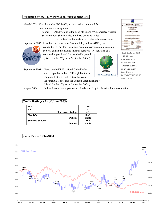#### **Evaluation by the Third Parties on Environment/CSR**

|  | • March 2003: Certified under ISO 14001, an international standard for |
|--|------------------------------------------------------------------------|
|  | environmental management.                                              |
|  | Scope $\blacksquare$ All divisions at the head office and MOL o        |

perated vessels Service range: Site activities and head office activities

associated with multi-modal logistics/ocean services.

・September 2003: Listed on the Dow Jones Sustainability Indexes (DJSI), in

 recognition of our long-term approach to environmental protection, societal contributions, and investor relations (IR) activities as a

 $\sum_{n=1}^{\text{error}}$  corporation positioned for sustainable growth. (Listed for the  $2<sup>nd</sup>$  year in September 2004.)

![](_page_25_Picture_8.jpeg)

Certificate of ISO 14001, an international standard for environmental management (certified by DNV=DET NORSKE VERITAS)

쓰 **DET NORSKE VERITAS** 

**LOSY Thursday** 

 $\overline{M}$ 

・September 2003: Listed on the FTSE 4 Good Global Index, which is published by FTSE, a global index company that is a joint venture between the Financial Times and the London Stock Exchange. (Listed for the 2nd year in September 2004.)

・August 2004: Included in corporate governance fund created by the Pension Fund Association.

#### **Credit Ratings (As of June 2005)**

| <b>JCR</b>                  |                           | $A+$       |
|-----------------------------|---------------------------|------------|
| R&I                         |                           | A          |
|                             | <b>Short-term Ratings</b> | $a-1$      |
| Moody's                     |                           | Baa2       |
|                             | <b>Outlook</b>            | stable     |
| <b>Standard &amp; Poors</b> |                           | <b>BBB</b> |
|                             | <b>Outlook</b>            | stable     |

#### **Share Prices 1994-2004**

![](_page_25_Figure_15.jpeg)